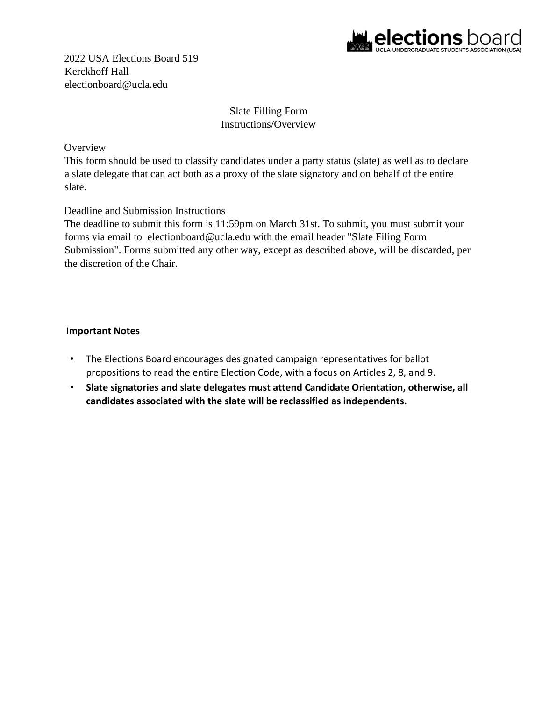

2022 USA Elections Board 519 Kerckhoff Hall electionboard@ucla.edu

## Slate Filling Form Instructions/Overview

### **Overview**

This form should be used to classify candidates under a party status (slate) as well as to declare a slate delegate that can act both as a proxy of the slate signatory and on behalf of the entire slate.

## Deadline and Submission Instructions

The deadline to submit this form is  $11:59$ pm on March 31st. To submit, you must submit your forms via email to electionboard@ucla.edu with the email header "Slate Filing Form Submission". Forms submitted any other way, except as described above, will be discarded, per the discretion of the Chair.

### **Important Notes**

- The Elections Board encourages designated campaign representatives for ballot propositions to read the entire Election Code, with a focus on Articles 2, 8, and 9.
- **Slate signatories and slate delegates must attend Candidate Orientation, otherwise, all candidates associated with the slate will be reclassified as independents.**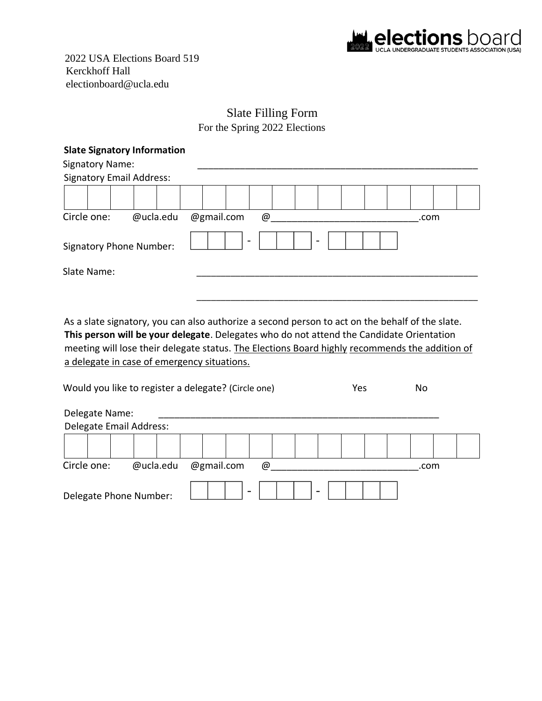

2022 USA Elections Board 519 Kerckhoff Hall electionboard@ucla.edu

# Slate Filling Form

| <b>Slate Signatory Information</b> |           |                              |      |  |
|------------------------------------|-----------|------------------------------|------|--|
| <b>Signatory Name:</b>             |           |                              |      |  |
| <b>Signatory Email Address:</b>    |           |                              |      |  |
|                                    |           |                              |      |  |
| Circle one:                        | @ucla.edu | @gmail.com<br>$^{\circledR}$ | .com |  |
| <b>Signatory Phone Number:</b>     |           | $\overline{\phantom{a}}$     |      |  |
| Slate Name:                        |           |                              |      |  |
|                                    |           |                              |      |  |
|                                    |           |                              |      |  |

As a slate signatory, you can also authorize a second person to act on the behalf of the slate. **This person will be your delegate**. Delegates who do not attend the Candidate Orientation meeting will lose their delegate status. The Elections Board highly recommends the addition of a delegate in case of emergency situations.

| Would you like to register a delegate? (Circle one) |           |  |            |  | Yes |  | No |  |      |  |
|-----------------------------------------------------|-----------|--|------------|--|-----|--|----|--|------|--|
| Delegate Name:                                      |           |  |            |  |     |  |    |  |      |  |
| Delegate Email Address:                             |           |  |            |  |     |  |    |  |      |  |
|                                                     |           |  |            |  |     |  |    |  |      |  |
| Circle one:                                         | @ucla.edu |  | @gmail.com |  | @   |  |    |  | .com |  |
| Delegate Phone Number:                              |           |  |            |  |     |  |    |  |      |  |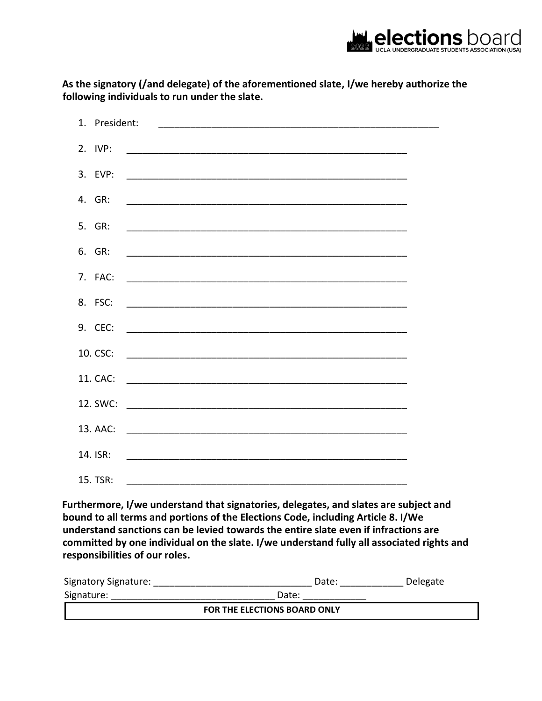

**As the signatory (/and delegate) of the aforementioned slate, I/we hereby authorize the following individuals to run under the slate.** 

| 3. EVP: |                          |  |
|---------|--------------------------|--|
|         |                          |  |
|         |                          |  |
|         |                          |  |
|         |                          |  |
|         |                          |  |
|         |                          |  |
|         | 10. CSC: $\qquad \qquad$ |  |
|         |                          |  |
|         |                          |  |
|         |                          |  |
|         |                          |  |
|         |                          |  |

**Furthermore, I/we understand that signatories, delegates, and slates are subject and bound to all terms and portions of the Elections Code, including Article 8. I/We understand sanctions can be levied towards the entire slate even if infractions are committed by one individual on the slate. I/we understand fully all associated rights and responsibilities of our roles.** 

| <b>Signatory Signature:</b>  | Date: | Delegate |  |  |  |  |  |
|------------------------------|-------|----------|--|--|--|--|--|
| Signature:                   | Date: |          |  |  |  |  |  |
| FOR THE ELECTIONS BOARD ONLY |       |          |  |  |  |  |  |